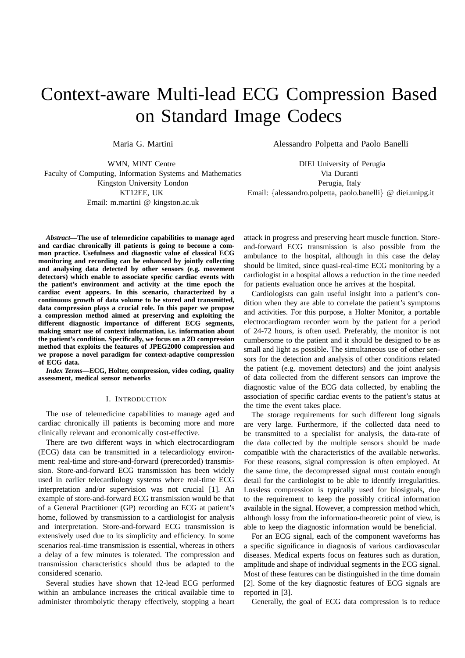# Context-aware Multi-lead ECG Compression Based on Standard Image Codecs

Maria G. Martini

WMN, MINT Centre Faculty of Computing, Information Systems and Mathematics Kingston University London KT12EE, UK Email: m.martini @ kingston.ac.uk

*Abstract***—The use of telemedicine capabilities to manage aged and cardiac chronically ill patients is going to become a common practice. Usefulness and diagnostic value of classical ECG monitoring and recording can be enhanced by jointly collecting and analysing data detected by other sensors (e.g. movement detectors) which enable to associate specific cardiac events with the patient's environment and activity at the time epoch the cardiac event appears. In this scenario, characterized by a continuous growth of data volume to be stored and transmitted, data compression plays a crucial role. In this paper we propose a compression method aimed at preserving and exploiting the different diagnostic importance of different ECG segments, making smart use of context information, i.e. information about the patient's condition. Specifically, we focus on a 2D compression method that exploits the features of JPEG2000 compression and we propose a novel paradigm for context-adaptive compression of ECG data.**

*Index Terms***—ECG, Holter, compression, video coding, quality assessment, medical sensor networks**

## I. INTRODUCTION

The use of telemedicine capabilities to manage aged and cardiac chronically ill patients is becoming more and more clinically relevant and economically cost-effective.

There are two different ways in which electrocardiogram (ECG) data can be transmitted in a telecardiology environment: real-time and store-and-forward (prerecorded) transmission. Store-and-forward ECG transmission has been widely used in earlier telecardiology systems where real-time ECG interpretation and/or supervision was not crucial [1]. An example of store-and-forward ECG transmission would be that of a General Practitioner (GP) recording an ECG at patient's home, followed by transmission to a cardiologist for analysis and interpretation. Store-and-forward ECG transmission is extensively used due to its simplicity and efficiency. In some scenarios real-time transmission is essential, whereas in others a delay of a few minutes is tolerated. The compression and transmission characteristics should thus be adapted to the considered scenario.

Several studies have shown that 12-lead ECG performed within an ambulance increases the critical available time to administer thrombolytic therapy effectively, stopping a heart

Alessandro Polpetta and Paolo Banelli

DIEI University of Perugia Via Duranti Perugia, Italy Email: {alessandro.polpetta, paolo.banelli} @ diei.unipg.it

attack in progress and preserving heart muscle function. Storeand-forward ECG transmission is also possible from the ambulance to the hospital, although in this case the delay should be limited, since quasi-real-time ECG monitoring by a cardiologist in a hospital allows a reduction in the time needed for patients evaluation once he arrives at the hospital.

Cardiologists can gain useful insight into a patient's condition when they are able to correlate the patient's symptoms and activities. For this purpose, a Holter Monitor, a portable electrocardiogram recorder worn by the patient for a period of 24-72 hours, is often used. Preferably, the monitor is not cumbersome to the patient and it should be designed to be as small and light as possible. The simultaneous use of other sensors for the detection and analysis of other conditions related the patient (e.g. movement detectors) and the joint analysis of data collected from the different sensors can improve the diagnostic value of the ECG data collected, by enabling the association of specific cardiac events to the patient's status at the time the event takes place.

The storage requirements for such different long signals are very large. Furthermore, if the collected data need to be transmitted to a specialist for analysis, the data-rate of the data collected by the multiple sensors should be made compatible with the characteristics of the available networks. For these reasons, signal compression is often employed. At the same time, the decompressed signal must contain enough detail for the cardiologist to be able to identify irregularities. Lossless compression is typically used for biosignals, due to the requirement to keep the possibly critical information available in the signal. However, a compression method which, although lossy from the information-theoretic point of view, is able to keep the diagnostic information would be beneficial.

For an ECG signal, each of the component waveforms has a specific significance in diagnosis of various cardiovascular diseases. Medical experts focus on features such as duration, amplitude and shape of individual segments in the ECG signal. Most of these features can be distinguished in the time domain [2]. Some of the key diagnostic features of ECG signals are reported in [3].

Generally, the goal of ECG data compression is to reduce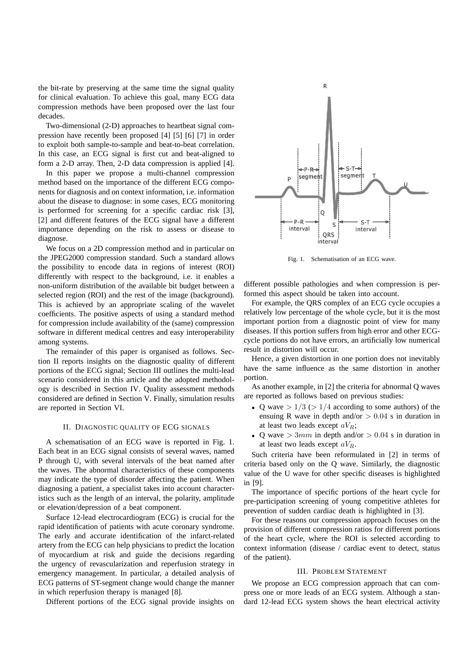the bit-rate by preserving at the same time the signal quality for clinical evaluation. To achieve this goal, many ECG data compression methods have been proposed over the last four decades.

Two-dimensional (2-D) approaches to heartbeat signal compression have recently been proposed [4] [5] [6] [7] in order to exploit both sample-to-sample and beat-to-beat correlation. In this case, an ECG signal is first cut and beat-aligned to form a 2-D array. Then, 2-D data compression is applied [4].

In this paper we propose a multi-channel compression method based on the importance of the different ECG components for diagnosis and on context information, i.e. information about the disease to diagnose: in some cases, ECG monitoring is performed for screening for a specific cardiac risk [3], [2] and different features of the ECG signal have a different importance depending on the risk to assess or disease to diagnose.

We focus on a 2D compression method and in particular on the JPEG2000 compression standard. Such a standard allows the possibility to encode data in regions of interest (ROI) differently with respect to the background, i.e. it enables a non-uniform distribution of the available bit budget between a selected region (ROI) and the rest of the image (background). This is achieved by an appropriate scaling of the wavelet coefficients. The positive aspects of using a standard method for compression include availability of the (same) compression software in different medical centres and easy interoperability among systems.

The remainder of this paper is organised as follows. Section II reports insights on the diagnostic quality of different portions of the ECG signal; Section III outlines the multi-lead scenario considered in this article and the adopted methodology is described in Section IV. Quality assessment methods considered are defined in Section V. Finally, simulation results are reported in Section VI.

## II. DIAGNOSTIC QUALITY OF ECG SIGNALS

A schematisation of an ECG wave is reported in Fig. 1. Each beat in an ECG signal consists of several waves, named P through U, with several intervals of the beat named after the waves. The abnormal characteristics of these components may indicate the type of disorder affecting the patient. When diagnosing a patient, a specialist takes into account characteristics such as the length of an interval, the polarity, amplitude or elevation/depression of a beat component.

Surface 12-lead electrocardiogram (ECG) is crucial for the rapid identification of patients with acute coronary syndrome. The early and accurate identification of the infarct-related artery from the ECG can help physicians to predict the location of myocardium at risk and guide the decisions regarding the urgency of revascularization and reperfusion strategy in emergency management. In particular, a detailed analysis of ECG patterns of ST-segment change would change the manner in which reperfusion therapy is managed [8].

Different portions of the ECG signal provide insights on



Fig. 1. Schematisation of an ECG wave.

different possible pathologies and when compression is performed this aspect should be taken into account.

For example, the QRS complex of an ECG cycle occupies a relatively low percentage of the whole cycle, but it is the most important portion from a diagnostic point of view for many diseases. If this portion suffers from high error and other ECGcycle portions do not have errors, an artificially low numerical result in distortion will occur.

Hence, a given distortion in one portion does not inevitably have the same influence as the same distortion in another portion.

As another example, in [2] the criteria for abnormal Q waves are reported as follows based on previous studies:

- Q wave  $> 1/3$  ( $> 1/4$  according to some authors) of the ensuing R wave in depth and/or  $> 0.04$  s in duration in at least two leads except  $aV_R$ ;
- Q wave  $> 3mm$  in depth and/or  $> 0.04$  s in duration in at least two leads except  $aV_R$ .

Such criteria have been reformulated in [2] in terms of criteria based only on the Q wave. Similarly, the diagnostic value of the U wave for other specific diseases is highlighted in [9].

The importance of specific portions of the heart cycle for pre-participation screening of young competitive athletes for prevention of sudden cardiac death is highlighted in [3].

For these reasons our compression approach focuses on the provision of different compression ratios for different portions of the heart cycle, where the ROI is selected according to context information (disease / cardiac event to detect, status of the patient).

#### III. PROBLEM STATEMENT

We propose an ECG compression approach that can compress one or more leads of an ECG system. Although a standard 12-lead ECG system shows the heart electrical activity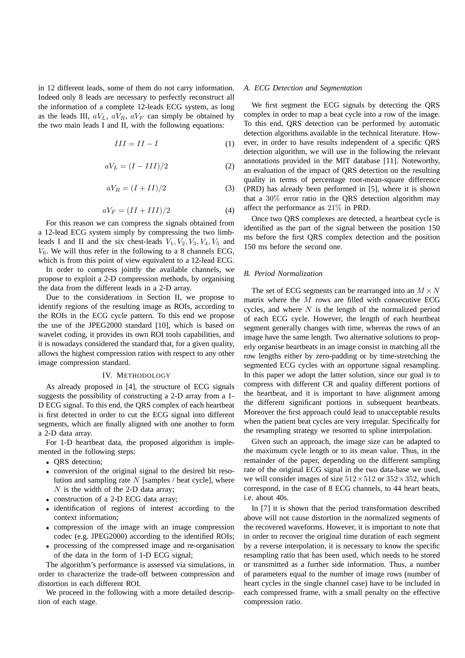in 12 different leads, some of them do not carry information. Indeed only 8 leads are necessary to perfectly reconstruct all the information of a complete 12-leads ECG system, as long as the leads III,  $aV_L$ ,  $aV_R$ ,  $aV_F$  can simply be obtained by the two main leads I and II, with the following equations:

$$
III = II - I \tag{1}
$$

$$
aV_L = (I - III)/2 \tag{2}
$$

$$
aV_R = (I + II)/2 \tag{3}
$$

$$
aV_F = (II + III)/2 \tag{4}
$$

For this reason we can compress the signals obtained from a 12-lead ECG system simply by compressing the two limbleads I and II and the six chest-leads  $V_1, V_2, V_3, V_4, V_5$  and  $V_6$ . We will thus refer in the following to a 8 channels ECG, which is from this point of view equivalent to a 12-lead ECG.

In order to compress jointly the available channels, we propose to exploit a 2-D compression methods, by organising the data from the different leads in a 2-D array.

Due to the considerations in Section II, we propose to identify regions of the resulting image as ROIs, according to the ROIs in the ECG cycle pattern. To this end we propose the use of the JPEG2000 standard [10], which is based on wavelet coding, it provides its own ROI tools capabilities, and it is nowadays considered the standard that, for a given quality, allows the highest compression ratios with respect to any other image compression standard.

## IV. METHODOLOGY

As already proposed in [4], the structure of ECG signals suggests the possibility of constructing a 2-D array from a 1- D ECG signal. To this end, the QRS complex of each heartbeat is first detected in order to cut the ECG signal into different segments, which are finally aligned with one another to form a 2-D data array.

For 1-D heartbeat data, the proposed algorithm is implemented in the following steps:

- QRS detection;
- conversion of the original signal to the desired bit resolution and sampling rate  $N$  [samples  $\prime$  beat cycle], where  $N$  is the width of the 2-D data array;
- construction of a 2-D ECG data array;
- identification of regions of interest according to the context information;
- compression of the image with an image compression codec (e.g. JPEG2000) according to the identified ROIs;
- processing of the compressed image and re-organisation of the data in the form of 1-D ECG signal;

The algorithm's performance is assessed via simulations, in order to characterize the trade-off between compression and distortion in each different ROI.

We proceed in the following with a more detailed description of each stage.

# *A. ECG Detection and Segmentation*

We first segment the ECG signals by detecting the QRS complex in order to map a beat cycle into a row of the image. To this end, QRS detection can be performed by automatic detection algorithms available in the technical literature. However, in order to have results independent of a specific QRS detection algorithm, we will use in the following the relevant annotations provided in the MIT database [11]. Noteworthy, an evaluation of the impact of QRS detection on the resulting quality in terms of percentage root-mean-square difference (PRD) has already been performed in [5], where it is shown that a 30% error ratio in the QRS detection algorithm may affect the performance as 21% in PRD.

Once two QRS complexes are detected, a heartbeat cycle is identified as the part of the signal between the position 150 ms before the first QRS complex detection and the position 150 ms before the second one.

# *B. Period Normalization*

The set of ECG segments can be rearranged into an  $M \times N$ matrix where the M rows are filled with consecutive ECG cycles, and where  $N$  is the length of the normalized period of each ECG cycle. However, the length of each heartbeat segment generally changes with time, whereas the rows of an image have the same length. Two alternative solutions to properly organise heartbeats in an image consist in matching all the row lengths either by zero-padding or by time-stretching the segmented ECG cycles with an opportune signal resampling. In this paper we adopt the latter solution, since our goal is to compress with different CR and quality different portions of the heartbeat, and it is important to have alignment among the different significant portions in subsequent heartbeats. Moreover the first approach could lead to unacceptable results when the patient beat cycles are very irregular. Specifically for the resampling strategy we resorted to spline interpolation.

Given such an approach, the image size can be adapted to the maximum cycle length or to its mean value. Thus, in the remainder of the paper, depending on the different sampling rate of the original ECG signal in the two data-base we used, we will consider images of size  $512 \times 512$  or  $352 \times 352$ , which correspond, in the case of 8 ECG channels, to 44 heart beats, i.e. about 40s.

In [7] it is shown that the period transformation described above will not cause distortion in the normalized segments of the recovered waveforms. However, it is important to note that in order to recover the original time duration of each segment by a reverse interpolation, it is necessary to know the specific resampling ratio that has been used, which needs to be stored or transmitted as a further side information. Thus, a number of parameters equal to the number of image rows (number of heart cycles in the single channel case) have to be included in each compressed frame, with a small penalty on the effective compression ratio.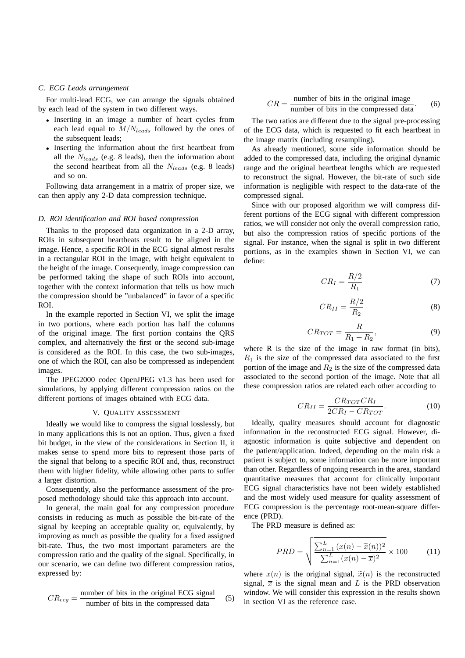# *C. ECG Leads arrangement*

For multi-lead ECG, we can arrange the signals obtained by each lead of the system in two different ways.

- Inserting in an image a number of heart cycles from each lead equal to  $M/N_{leads}$  followed by the ones of the subsequent leads:
- Inserting the information about the first heartbeat from all the  $N_{leads}$  (e.g. 8 leads), then the information about the second heartbeat from all the  $N_{leads}$  (e.g. 8 leads) and so on.

Following data arrangement in a matrix of proper size, we can then apply any 2-D data compression technique.

## *D. ROI identification and ROI based compression*

Thanks to the proposed data organization in a 2-D array, ROIs in subsequent heartbeats result to be aligned in the image. Hence, a specific ROI in the ECG signal almost results in a rectangular ROI in the image, with height equivalent to the height of the image. Consequently, image compression can be performed taking the shape of such ROIs into account, together with the context information that tells us how much the compression should be "unbalanced" in favor of a specific ROI.

In the example reported in Section VI, we split the image in two portions, where each portion has half the columns of the original image. The first portion contains the QRS complex, and alternatively the first or the second sub-image is considered as the ROI. In this case, the two sub-images, one of which the ROI, can also be compressed as independent images.

The JPEG2000 codec OpenJPEG v1.3 has been used for simulations, by applying different compression ratios on the different portions of images obtained with ECG data.

## V. QUALITY ASSESSMENT

Ideally we would like to compress the signal losslessly, but in many applications this is not an option. Thus, given a fixed bit budget, in the view of the considerations in Section II, it makes sense to spend more bits to represent those parts of the signal that belong to a specific ROI and, thus, reconstruct them with higher fidelity, while allowing other parts to suffer a larger distortion.

Consequently, also the performance assessment of the proposed methodology should take this approach into account.

In general, the main goal for any compression procedure consists in reducing as much as possible the bit-rate of the signal by keeping an acceptable quality or, equivalently, by improving as much as possible the quality for a fixed assigned bit-rate. Thus, the two most important parameters are the compression ratio and the quality of the signal. Specifically, in our scenario, we can define two different compression ratios, expressed by:

$$
CR_{ecg} = \frac{\text{number of bits in the original ECG signal}}{\text{number of bits in the compressed data}} \quad (5)
$$

$$
CR = \frac{\text{number of bits in the original image}}{\text{number of bits in the compressed data}}.
$$
 (6)

The two ratios are different due to the signal pre-processing of the ECG data, which is requested to fit each heartbeat in the image matrix (including resampling).

As already mentioned, some side information should be added to the compressed data, including the original dynamic range and the original heartbeat lengths which are requested to reconstruct the signal. However, the bit-rate of such side information is negligible with respect to the data-rate of the compressed signal.

Since with our proposed algorithm we will compress different portions of the ECG signal with different compression ratios, we will consider not only the overall compression ratio, but also the compression ratios of specific portions of the signal. For instance, when the signal is split in two different portions, as in the examples shown in Section VI, we can define:

$$
CR_I = \frac{R/2}{R_1} \tag{7}
$$

$$
CR_{II} = \frac{R/2}{R_2} \tag{8}
$$

$$
CR_{TOT} = \frac{R}{R_1 + R_2},\tag{9}
$$

where R is the size of the image in raw format (in bits).  $R_1$  is the size of the compressed data associated to the first portion of the image and  $R_2$  is the size of the compressed data associated to the second portion of the image. Note that all these compression ratios are related each other according to

$$
CR_{II} = \frac{CR_{TOT}CR_I}{2CR_I - CR_{TOT}}.\tag{10}
$$

Ideally, quality measures should account for diagnostic information in the reconstructed ECG signal. However, diagnostic information is quite subjective and dependent on the patient/application. Indeed, depending on the main risk a patient is subject to, some information can be more important than other. Regardless of ongoing research in the area, standard quantitative measures that account for clinically important ECG signal characteristics have not been widely established and the most widely used measure for quality assessment of ECG compression is the percentage root-mean-square difference (PRD).

The PRD measure is defined as:

$$
PRD = \sqrt{\frac{\sum_{n=1}^{L} (x(n) - \tilde{x}(n))^2}{\sum_{n=1}^{L} (x(n) - \bar{x})^2}} \times 100
$$
 (11)

where  $x(n)$  is the original signal,  $\tilde{x}(n)$  is the reconstructed signal,  $\overline{x}$  is the signal mean and L is the PRD observation window. We will consider this expression in the results shown in section VI as the reference case.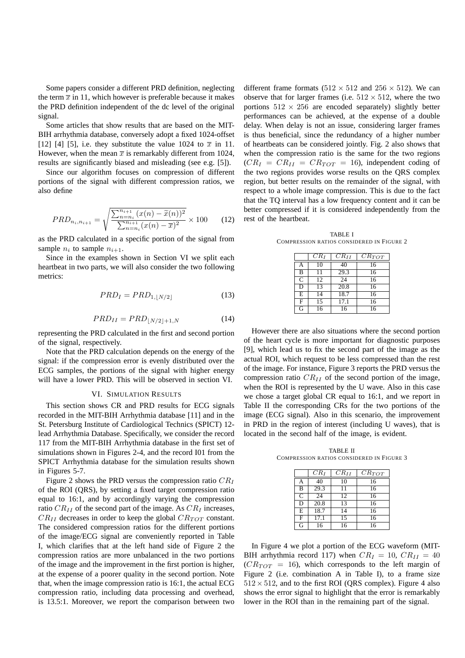Some papers consider a different PRD definition, neglecting the term  $\bar{x}$  in 11, which however is preferable because it makes the PRD definition independent of the dc level of the original signal.

Some articles that show results that are based on the MIT-BIH arrhythmia database, conversely adopt a fixed 1024-offset [12] [4] [5], i.e. they substitute the value 1024 to  $\bar{x}$  in 11. However, when the mean  $\bar{x}$  is remarkably different from 1024, results are significantly biased and misleading (see e.g. [5]).

Since our algorithm focuses on compression of different portions of the signal with different compression ratios, we also define

$$
PRD_{n_i, n_{i+1}} = \sqrt{\frac{\sum_{n=n_i}^{n_{i+1}} (x(n) - \tilde{x}(n))^2}{\sum_{n=n_i}^{n_{i+1}} (x(n) - \bar{x})^2}} \times 100 \qquad (12)
$$

as the PRD calculated in a specific portion of the signal from sample  $n_i$  to sample  $n_{i+1}$ .

Since in the examples shown in Section VI we split each heartbeat in two parts, we will also consider the two following metrics:

$$
PRD_I = PRD_{1, \lfloor N/2 \rfloor} \tag{13}
$$

$$
PRD_{II} = PRD_{\lfloor N/2 \rfloor + 1, N} \tag{14}
$$

representing the PRD calculated in the first and second portion of the signal, respectively.

Note that the PRD calculation depends on the energy of the signal: if the compression error is evenly distributed over the ECG samples, the portions of the signal with higher energy will have a lower PRD. This will be observed in section VI.

## VI. SIMULATION RESULTS

This section shows CR and PRD results for ECG signals recorded in the MIT-BIH Arrhythmia database [11] and in the St. Petersburg Institute of Cardiological Technics (SPICT) 12 lead Arrhythmia Database. Specifically, we consider the record 117 from the MIT-BIH Arrhythmia database in the first set of simulations shown in Figures 2-4, and the record I01 from the SPICT Arrhythmia database for the simulation results shown in Figures 5-7.

Figure 2 shows the PRD versus the compression ratio  $CR_I$ of the ROI (QRS), by setting a fixed target compression ratio equal to 16:1, and by accordingly varying the compression ratio  $CR_{II}$  of the second part of the image. As  $CR_I$  increases,  $CR_{II}$  decreases in order to keep the global  $CR_{TOT}$  constant. The considered compression ratios for the different portions of the image/ECG signal are conveniently reported in Table I, which clarifies that at the left hand side of Figure 2 the compression ratios are more unbalanced in the two portions of the image and the improvement in the first portion is higher, at the expense of a poorer quality in the second portion. Note that, when the image compression ratio is 16:1, the actual ECG compression ratio, including data processing and overhead, is 13.5:1. Moreover, we report the comparison between two

different frame formats ( $512 \times 512$  and  $256 \times 512$ ). We can observe that for larger frames (i.e.  $512 \times 512$ , where the two portions  $512 \times 256$  are encoded separately) slightly better performances can be achieved, at the expense of a double delay. When delay is not an issue, considering larger frames is thus beneficial, since the redundancy of a higher number of heartbeats can be considered jointly. Fig. 2 also shows that when the compression ratio is the same for the two regions  $(CR<sub>I</sub> = CR<sub>II</sub> = CR<sub>TOT</sub> = 16)$ , independent coding of the two regions provides worse results on the QRS complex region, but better results on the remainder of the signal, with respect to a whole image compression. This is due to the fact that the TQ interval has a low frequency content and it can be better compressed if it is considered independently from the rest of the heartbeat.

TABLE I COMPRESSION RATIOS CONSIDERED IN FIGURE 2

|   | $CR_I$ | $CR_{II}$ | $CR_{TOT}$ |
|---|--------|-----------|------------|
| А | 10     | 40        | 16         |
| B | 11     | 29.3      | 16         |
| C | 12     | 24        | 16         |
| D | 13     | 20.8      | 16         |
| E | 14     | 18.7      | 16         |
| F | 15     | 17.1      | 16         |
| G | 16     | 16        | 16         |

However there are also situations where the second portion of the heart cycle is more important for diagnostic purposes [9], which lead us to fix the second part of the image as the actual ROI, which request to be less compressed than the rest of the image. For instance, Figure 3 reports the PRD versus the compression ratio  $CR_{II}$  of the second portion of the image, when the ROI is represented by the U wave. Also in this case we chose a target global CR equal to 16:1, and we report in Table II the corresponding CRs for the two portions of the image (ECG signal). Also in this scenario, the improvement in PRD in the region of interest (including U waves), that is located in the second half of the image, is evident.

TABLE II COMPRESSION RATIOS CONSIDERED IN FIGURE 3

|                    | $CR_I$            | $CR_{II}$ | $CR_{TOT}$ |
|--------------------|-------------------|-----------|------------|
| A                  | 40                | 10        | 16         |
| B                  | $\overline{29.3}$ | 11        | 16         |
| $\overline{\rm c}$ | $\overline{24}$   | 12        | 16         |
| D                  | $\overline{20.8}$ | 13        | 16         |
| E                  | 18.7              | 14        | 16         |
| F                  | 17.1              | 15        | 16         |
| G                  | 16                | 16        | 16         |

In Figure 4 we plot a portion of the ECG waveform (MIT-BIH arrhythmia record 117) when  $CR_I = 10$ ,  $CR_{II} = 40$  $(CR_{TOT} = 16)$ , which corresponds to the left margin of Figure 2 (i.e. combination A in Table I), to a frame size  $512 \times 512$ , and to the first ROI (QRS complex). Figure 4 also shows the error signal to highlight that the error is remarkably lower in the ROI than in the remaining part of the signal.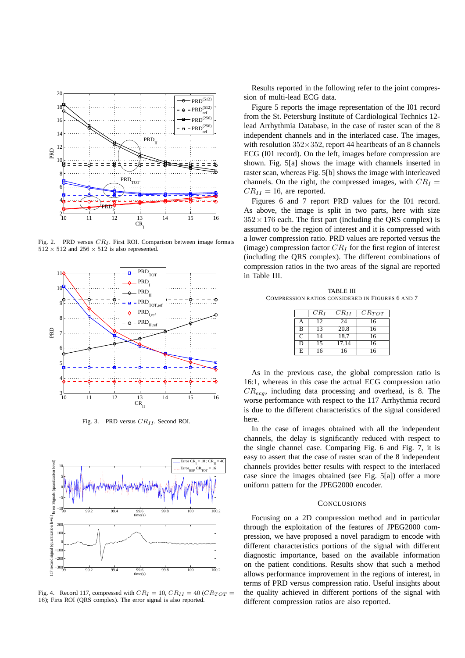

Fig. 2. PRD versus  $CR_I$ . First ROI. Comparison between image formats  $512 \times 512$  and  $256 \times 512$  is also represented.



Fig. 3. PRD versus  $CR_{II}$ . Second ROI.



Fig. 4. Record 117, compressed with  $CR_I = 10$ ,  $CR_{II} = 40$  ( $CR_{TOT} =$ 16); Firts ROI (QRS complex). The error signal is also reported.

Results reported in the following refer to the joint compression of multi-lead ECG data.

Figure 5 reports the image representation of the I01 record from the St. Petersburg Institute of Cardiological Technics 12 lead Arrhythmia Database, in the case of raster scan of the 8 independent channels and in the interlaced case. The images, with resolution  $352\times352$ , report 44 heartbeats of an 8 channels ECG (I01 record). On the left, images before compression are shown. Fig. 5[a] shows the image with channels inserted in raster scan, whereas Fig. 5[b] shows the image with interleaved channels. On the right, the compressed images, with  $CR_I =$  $CR_{II} = 16$ , are reported.

Figures 6 and 7 report PRD values for the I01 record. As above, the image is split in two parts, here with size  $352 \times 176$  each. The first part (including the ORS complex) is assumed to be the region of interest and it is compressed with a lower compression ratio. PRD values are reported versus the (image) compression factor  $CR_I$  for the first region of interest (including the QRS complex). The different combinations of compression ratios in the two areas of the signal are reported in Table III.

|                                                  | TABLE III |  |  |
|--------------------------------------------------|-----------|--|--|
| COMPRESSION RATIOS CONSIDERED IN FIGURES 6 AND 7 |           |  |  |

|   | $CR_I$ | $CR_{II}$ | $CR_{TOT}$ |
|---|--------|-----------|------------|
|   | 12     | 24        | 16         |
| B | 13     | 20.8      | 16         |
| C | 14     | 18.7      | 16         |
| D | 15     | 17.14     | 16         |
| E | 16     | 16        | 16         |

As in the previous case, the global compression ratio is 16:1, whereas in this case the actual ECG compression ratio  $CR_{ecq}$ , including data processing and overhead, is 8. The worse performance with respect to the 117 Arrhythmia record is due to the different characteristics of the signal considered here.

In the case of images obtained with all the independent channels, the delay is significantly reduced with respect to the single channel case. Comparing Fig. 6 and Fig. 7, it is easy to assert that the case of raster scan of the 8 independent channels provides better results with respect to the interlaced case since the images obtained (see Fig. 5[a]) offer a more uniform pattern for the JPEG2000 encoder.

## **CONCLUSIONS**

Focusing on a 2D compression method and in particular through the exploitation of the features of JPEG2000 compression, we have proposed a novel paradigm to encode with different characteristics portions of the signal with different diagnostic importance, based on the available information on the patient conditions. Results show that such a method allows performance improvement in the regions of interest, in terms of PRD versus compression ratio. Useful insights about the quality achieved in different portions of the signal with different compression ratios are also reported.